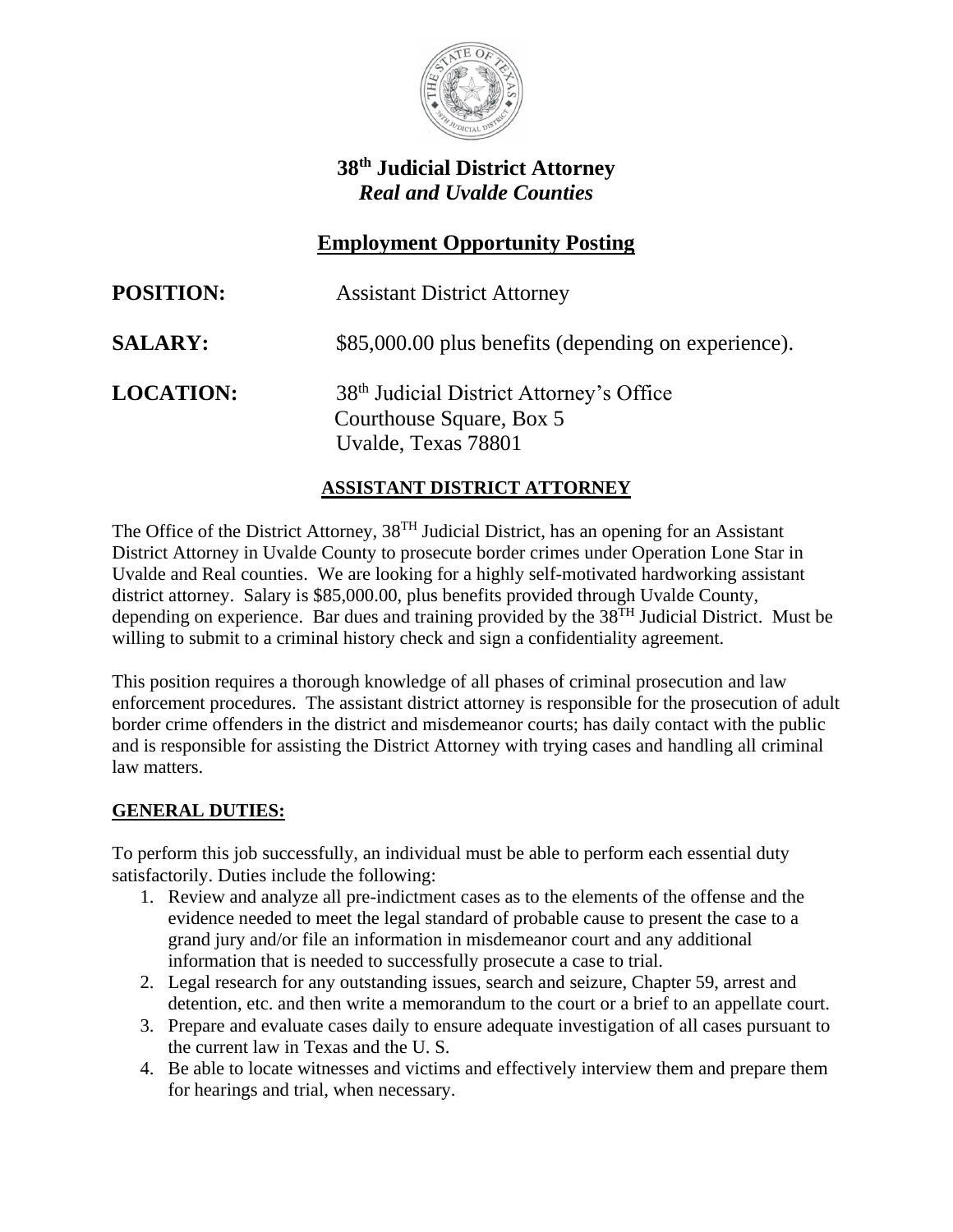

# **38th Judicial District Attorney** *Real and Uvalde Counties*

# **Employment Opportunity Posting**

| <b>POSITION:</b> | <b>Assistant District Attorney</b>                                                                      |
|------------------|---------------------------------------------------------------------------------------------------------|
| <b>SALARY:</b>   | \$85,000.00 plus benefits (depending on experience).                                                    |
| <b>LOCATION:</b> | 38 <sup>th</sup> Judicial District Attorney's Office<br>Courthouse Square, Box 5<br>Uvalde, Texas 78801 |

## **ASSISTANT DISTRICT ATTORNEY**

The Office of the District Attorney, 38<sup>TH</sup> Judicial District, has an opening for an Assistant District Attorney in Uvalde County to prosecute border crimes under Operation Lone Star in Uvalde and Real counties. We are looking for a highly self-motivated hardworking assistant district attorney. Salary is \$85,000.00, plus benefits provided through Uvalde County, depending on experience. Bar dues and training provided by the  $38<sup>TH</sup>$  Judicial District. Must be willing to submit to a criminal history check and sign a confidentiality agreement.

This position requires a thorough knowledge of all phases of criminal prosecution and law enforcement procedures. The assistant district attorney is responsible for the prosecution of adult border crime offenders in the district and misdemeanor courts; has daily contact with the public and is responsible for assisting the District Attorney with trying cases and handling all criminal law matters.

### **GENERAL DUTIES:**

To perform this job successfully, an individual must be able to perform each essential duty satisfactorily. Duties include the following:

- 1. Review and analyze all pre-indictment cases as to the elements of the offense and the evidence needed to meet the legal standard of probable cause to present the case to a grand jury and/or file an information in misdemeanor court and any additional information that is needed to successfully prosecute a case to trial.
- 2. Legal research for any outstanding issues, search and seizure, Chapter 59, arrest and detention, etc. and then write a memorandum to the court or a brief to an appellate court.
- 3. Prepare and evaluate cases daily to ensure adequate investigation of all cases pursuant to the current law in Texas and the U. S.
- 4. Be able to locate witnesses and victims and effectively interview them and prepare them for hearings and trial, when necessary.